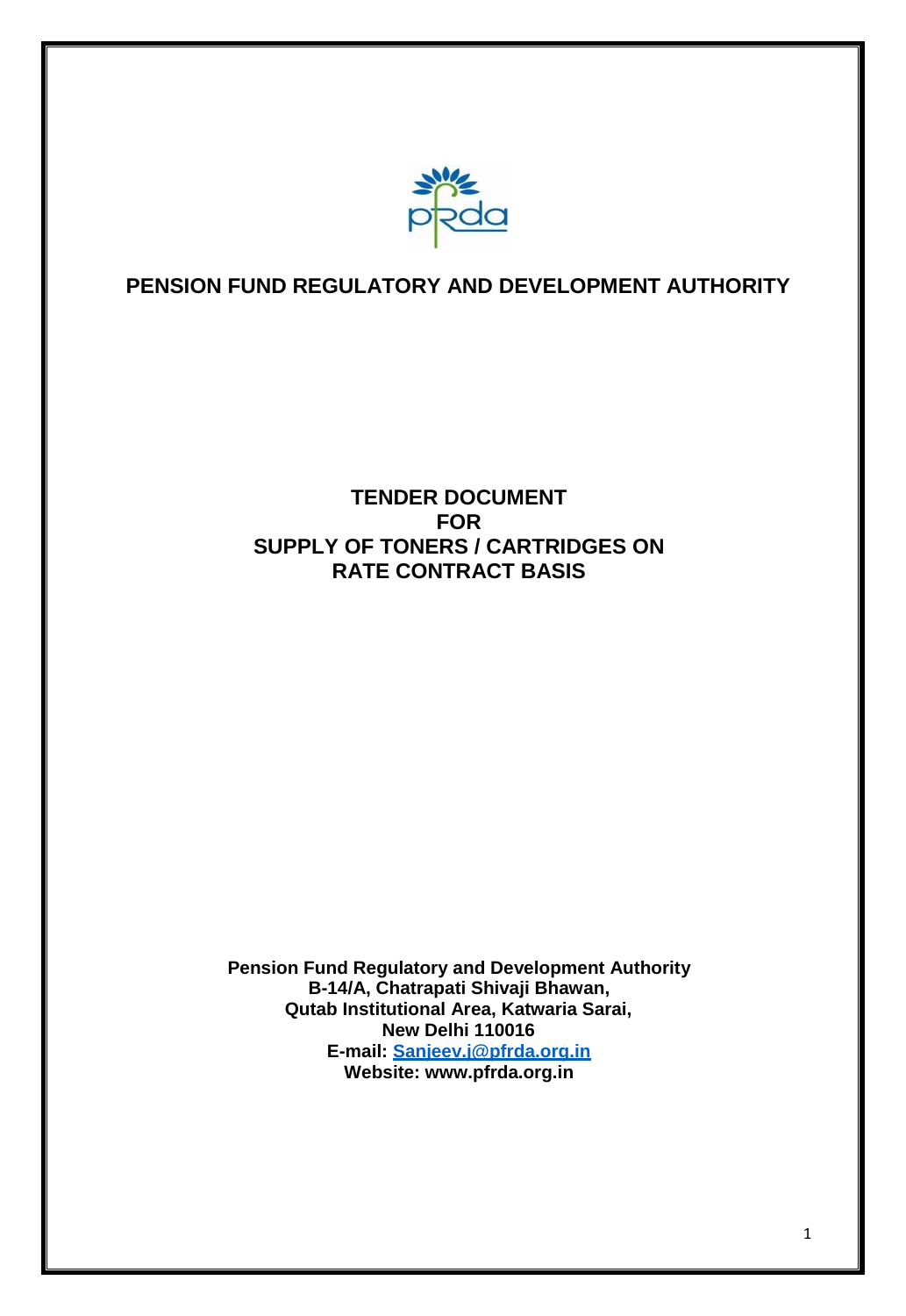

# **PENSION FUND REGULATORY AND DEVELOPMENT AUTHORITY**

# **TENDER DOCUMENT FOR SUPPLY OF TONERS / CARTRIDGES ON RATE CONTRACT BASIS**

**Pension Fund Regulatory and Development Authority B-14/A, Chatrapati Shivaji Bhawan, Qutab Institutional Area, Katwaria Sarai, New Delhi 110016 E-mail: [Sanjeev.j@pfrda.org.in](mailto:Sanjeev.j@pfrda.org.in) Website: [www.pfrda.org.in](http://www.pfrda.org.in/)**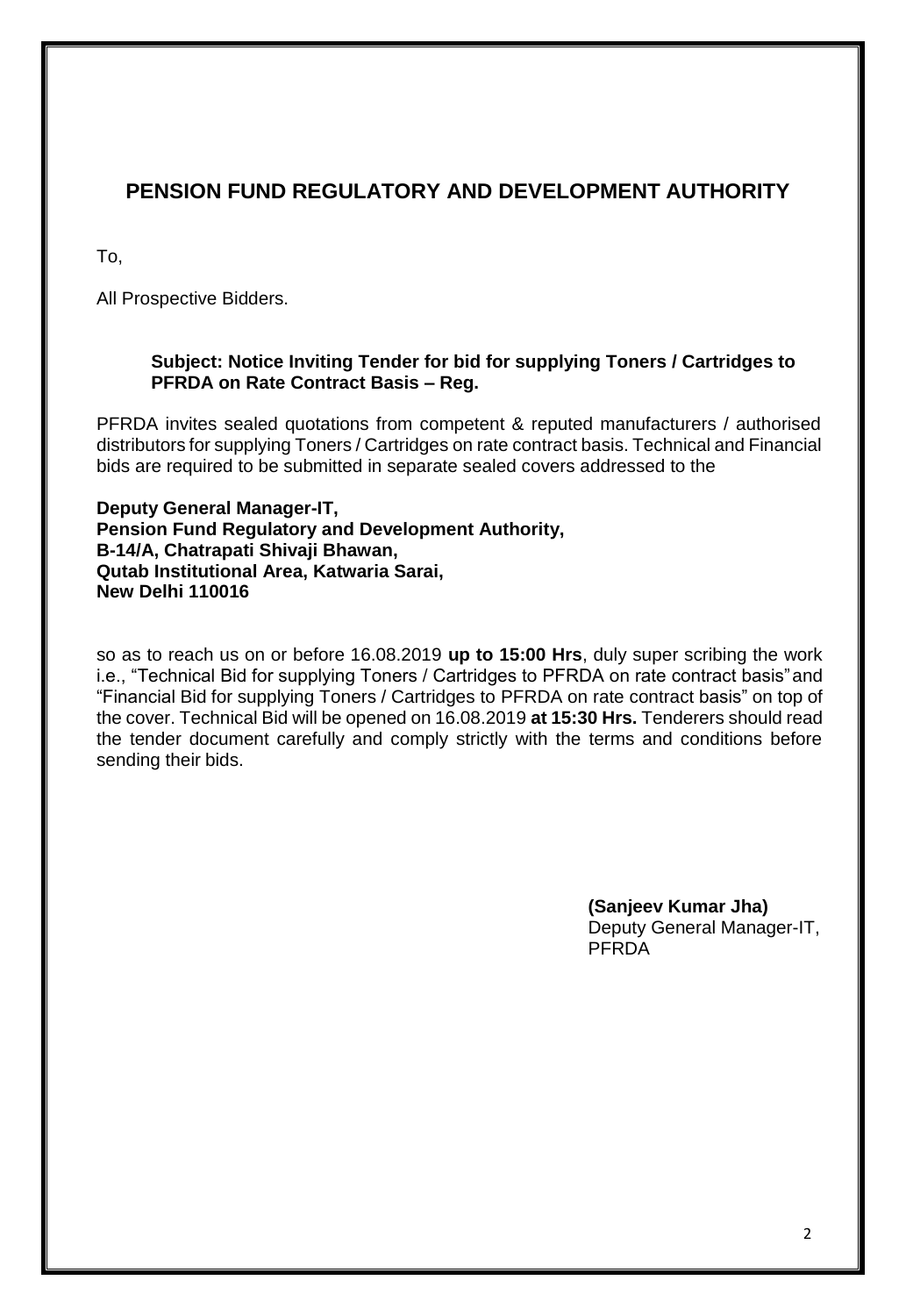# **PENSION FUND REGULATORY AND DEVELOPMENT AUTHORITY**

To,

All Prospective Bidders.

# **Subject: Notice Inviting Tender for bid for supplying Toners / Cartridges to PFRDA on Rate Contract Basis – Reg.**

PFRDA invites sealed quotations from competent & reputed manufacturers / authorised distributors for supplying Toners / Cartridges on rate contract basis. Technical and Financial bids are required to be submitted in separate sealed covers addressed to the

**Deputy General Manager-IT, Pension Fund Regulatory and Development Authority, B-14/A, Chatrapati Shivaji Bhawan, Qutab Institutional Area, Katwaria Sarai, New Delhi 110016**

so as to reach us on or before 16.08.2019 **up to 15:00 Hrs**, duly super scribing the work i.e., "Technical Bid for supplying Toners / Cartridges to PFRDA on rate contract basis"and "Financial Bid for supplying Toners / Cartridges to PFRDA on rate contract basis" on top of the cover. Technical Bid will be opened on 16.08.2019 **at 15:30 Hrs.** Tenderers should read the tender document carefully and comply strictly with the terms and conditions before sending their bids.

> **(Sanjeev Kumar Jha)**  Deputy General Manager-IT, PFRDA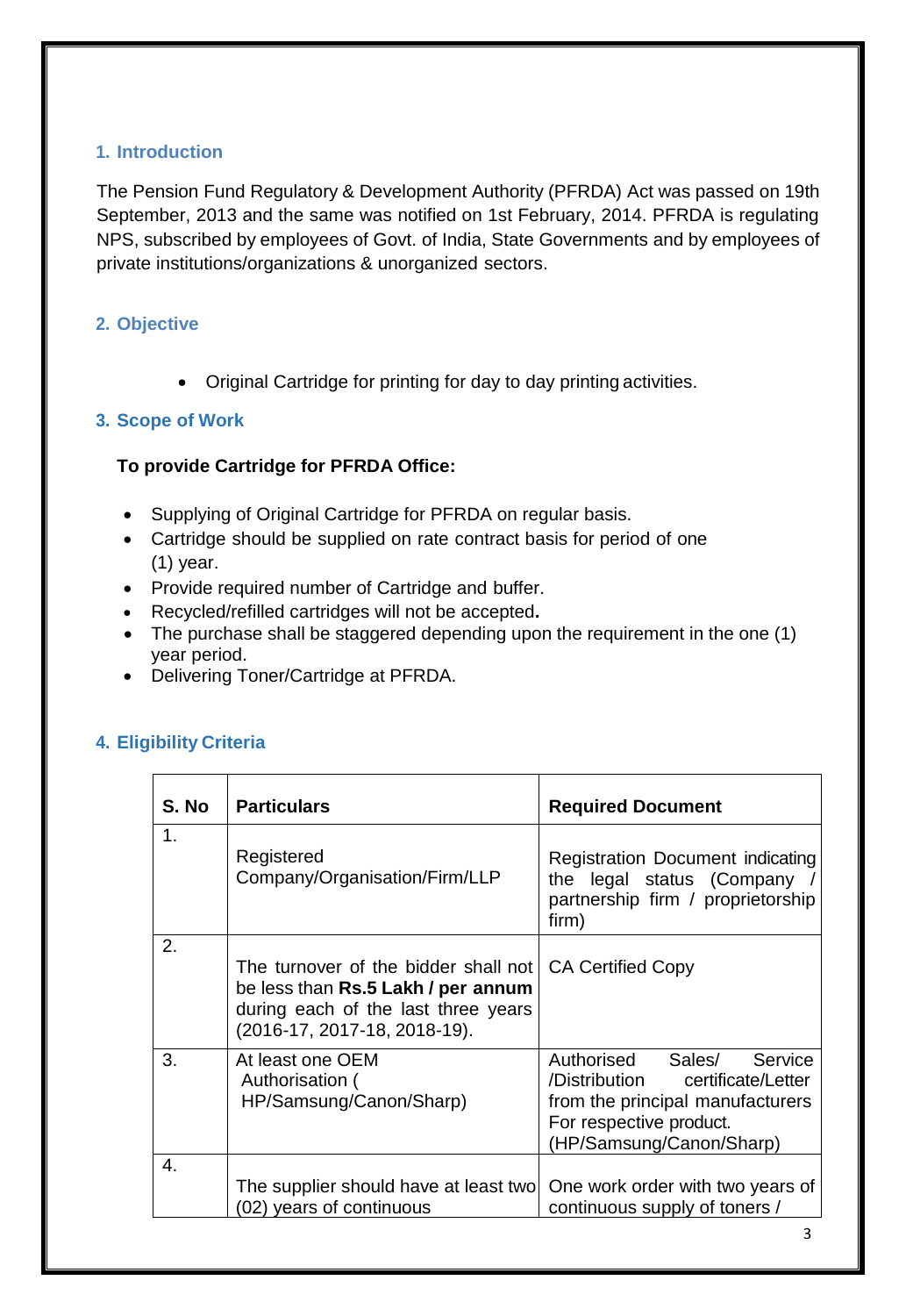# **1. Introduction**

The Pension Fund Regulatory & Development Authority (PFRDA) Act was passed on 19th September, 2013 and the same was notified on 1st February, 2014. PFRDA is regulating NPS, subscribed by employees of Govt. of India, State Governments and by employees of private institutions/organizations & unorganized sectors.

# **2. Objective**

• Original Cartridge for printing for day to day printing activities.

# **3. Scope of Work**

# **To provide Cartridge for PFRDA Office:**

- Supplying of Original Cartridge for PFRDA on regular basis.
- Cartridge should be supplied on rate contract basis for period of one (1) year.
- Provide required number of Cartridge and buffer.
- Recycled/refilled cartridges will not be accepted**.**
- The purchase shall be staggered depending upon the requirement in the one (1) year period.
- Delivering Toner/Cartridge at PFRDA.

# **4. Eligibility Criteria**

| S. No | <b>Particulars</b>                                                                                                                                | <b>Required Document</b>                                                                                                                                    |  |  |
|-------|---------------------------------------------------------------------------------------------------------------------------------------------------|-------------------------------------------------------------------------------------------------------------------------------------------------------------|--|--|
| 1.    | Registered<br>Company/Organisation/Firm/LLP                                                                                                       | Registration Document indicating<br>the legal status (Company /<br>partnership firm / proprietorship<br>firm)                                               |  |  |
| 2.    | The turnover of the bidder shall not<br>be less than Rs.5 Lakh / per annum<br>during each of the last three years<br>(2016-17, 2017-18, 2018-19). | <b>CA Certified Copy</b>                                                                                                                                    |  |  |
| 3.    | At least one OEM<br>Authorisation (<br>HP/Samsung/Canon/Sharp)                                                                                    | Authorised Sales/<br>Service<br>/Distribution certificate/Letter<br>from the principal manufacturers<br>For respective product.<br>(HP/Samsung/Canon/Sharp) |  |  |
| 4.    | The supplier should have at least two<br>(02) years of continuous                                                                                 | One work order with two years of<br>continuous supply of toners /                                                                                           |  |  |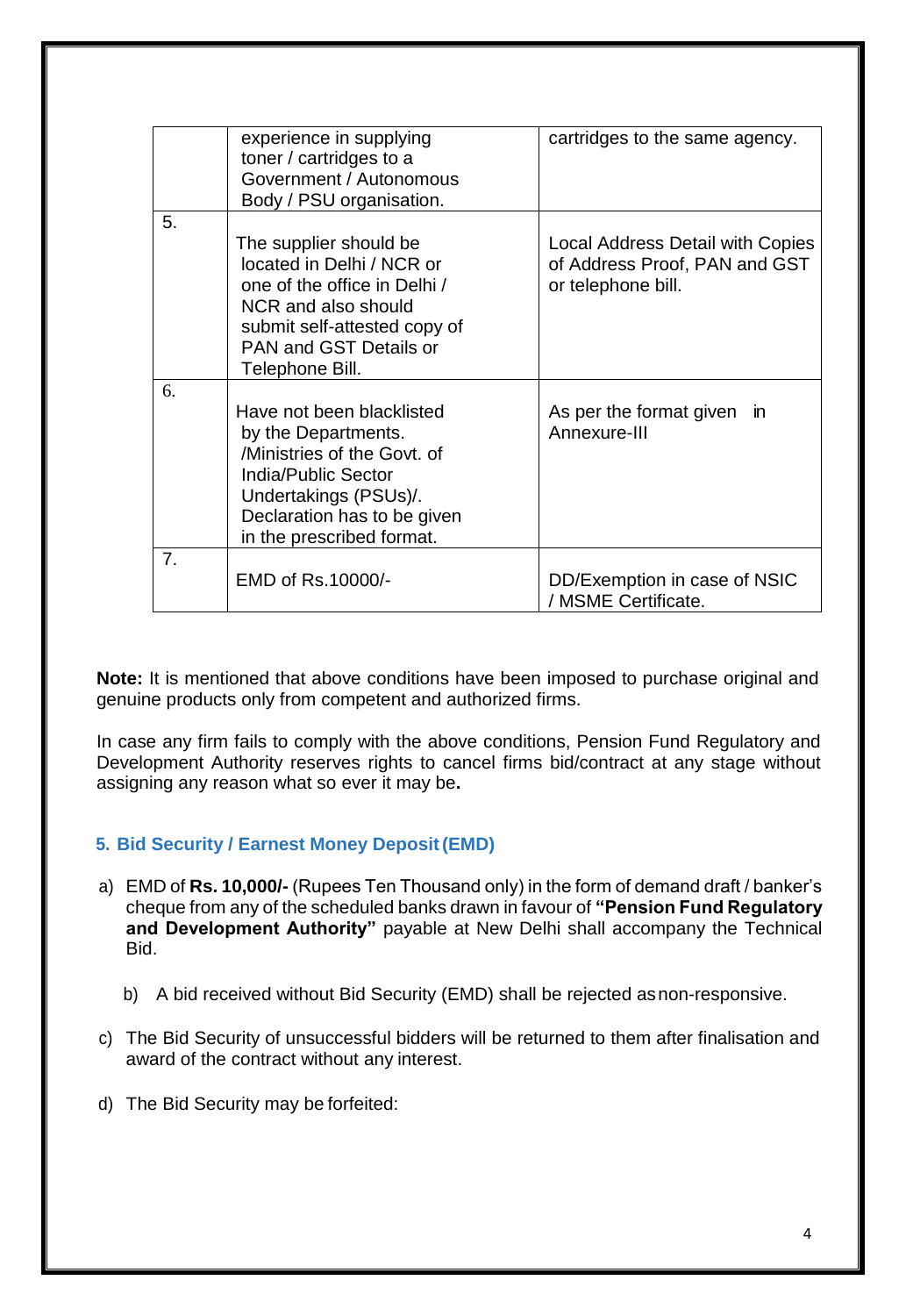|    | experience in supplying<br>toner / cartridges to a<br>Government / Autonomous<br>Body / PSU organisation.                                                                                   | cartridges to the same agency.                                                                 |
|----|---------------------------------------------------------------------------------------------------------------------------------------------------------------------------------------------|------------------------------------------------------------------------------------------------|
| 5. | The supplier should be<br>located in Delhi / NCR or<br>one of the office in Delhi /<br>NCR and also should<br>submit self-attested copy of<br>PAN and GST Details or<br>Telephone Bill.     | <b>Local Address Detail with Copies</b><br>of Address Proof, PAN and GST<br>or telephone bill. |
| 6. | Have not been blacklisted<br>by the Departments.<br>/Ministries of the Govt. of<br>India/Public Sector<br>Undertakings (PSUs)/.<br>Declaration has to be given<br>in the prescribed format. | As per the format given in<br>Annexure-III                                                     |
| 7. | EMD of Rs.10000/-                                                                                                                                                                           | DD/Exemption in case of NSIC<br>/ MSME Certificate.                                            |

**Note:** It is mentioned that above conditions have been imposed to purchase original and genuine products only from competent and authorized firms.

In case any firm fails to comply with the above conditions, Pension Fund Regulatory and Development Authority reserves rights to cancel firms bid/contract at any stage without assigning any reason what so ever it may be**.**

# **5. Bid Security / Earnest Money Deposit(EMD)**

- a) EMD of **Rs. 10,000/-** (Rupees Ten Thousand only) in the form of demand draft / banker's cheque from any of the scheduled banks drawn in favour of **"Pension Fund Regulatory and Development Authority"** payable at New Delhi shall accompany the Technical Bid.
	- b) A bid received without Bid Security (EMD) shall be rejected asnon-responsive.
- c) The Bid Security of unsuccessful bidders will be returned to them after finalisation and award of the contract without any interest.
- d) The Bid Security may be forfeited: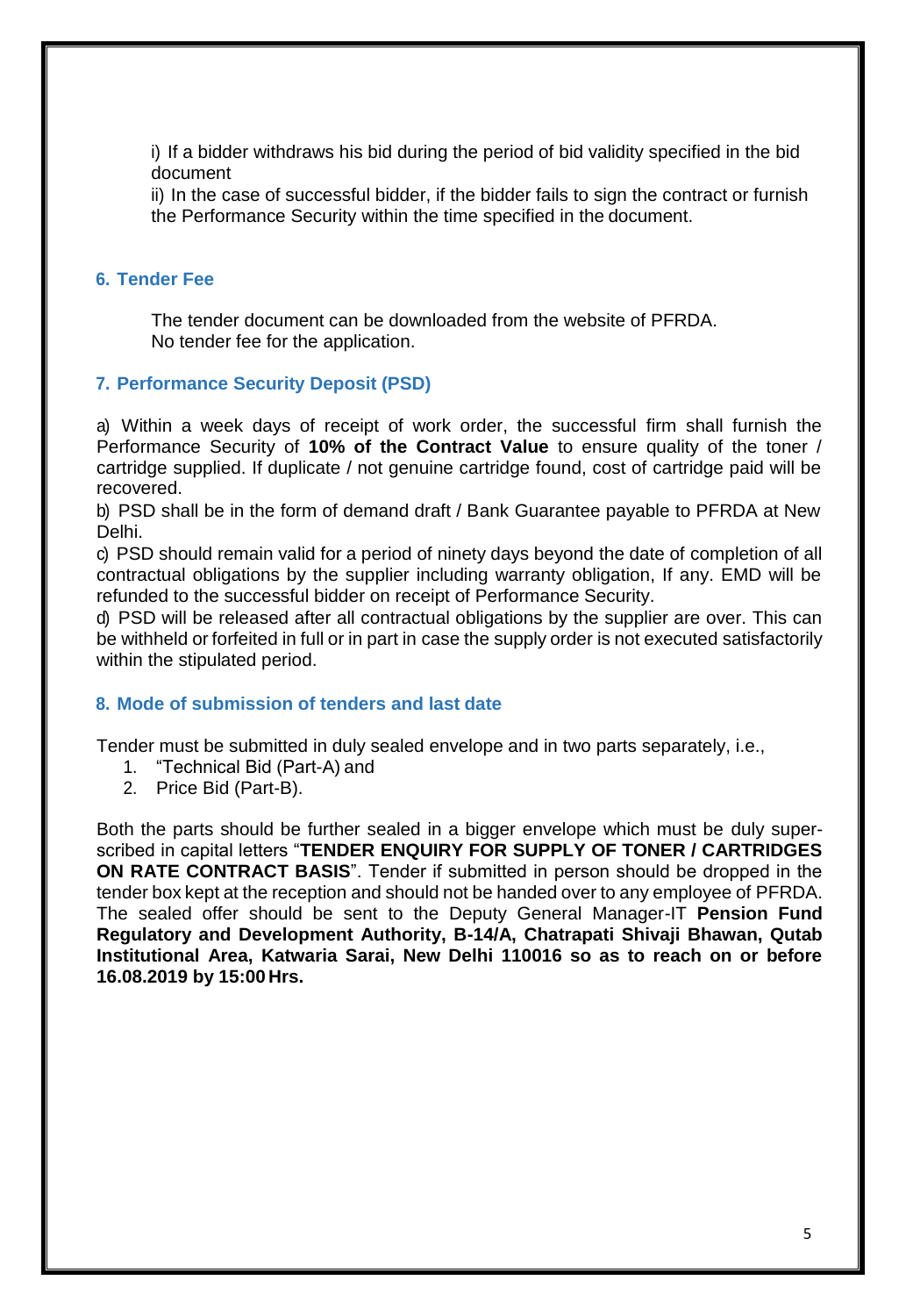i) If a bidder withdraws his bid during the period of bid validity specified in the bid document

ii) In the case of successful bidder, if the bidder fails to sign the contract or furnish the Performance Security within the time specified in the document.

# **6. Tender Fee**

The tender document can be downloaded from the website of PFRDA. No tender fee for the application.

# **7. Performance Security Deposit (PSD)**

a) Within a week days of receipt of work order, the successful firm shall furnish the Performance Security of **10% of the Contract Value** to ensure quality of the toner / cartridge supplied. If duplicate / not genuine cartridge found, cost of cartridge paid will be recovered.

b) PSD shall be in the form of demand draft / Bank Guarantee payable to PFRDA at New Delhi.

c) PSD should remain valid for a period of ninety days beyond the date of completion of all contractual obligations by the supplier including warranty obligation, If any. EMD will be refunded to the successful bidder on receipt of Performance Security.

d) PSD will be released after all contractual obligations by the supplier are over. This can be withheld or forfeited in full or in part in case the supply order is not executed satisfactorily within the stipulated period.

# **8. Mode of submission of tenders and last date**

Tender must be submitted in duly sealed envelope and in two parts separately, i.e.,

- 1. "Technical Bid (Part-A) and
- 2. Price Bid (Part-B).

Both the parts should be further sealed in a bigger envelope which must be duly superscribed in capital letters "**TENDER ENQUIRY FOR SUPPLY OF TONER / CARTRIDGES ON RATE CONTRACT BASIS**". Tender if submitted in person should be dropped in the tender box kept at the reception and should not be handed over to any employee of PFRDA. The sealed offer should be sent to the Deputy General Manager-IT **Pension Fund Regulatory and Development Authority, B-14/A, Chatrapati Shivaji Bhawan, Qutab Institutional Area, Katwaria Sarai, New Delhi 110016 so as to reach on or before 16.08.2019 by 15:00 Hrs.**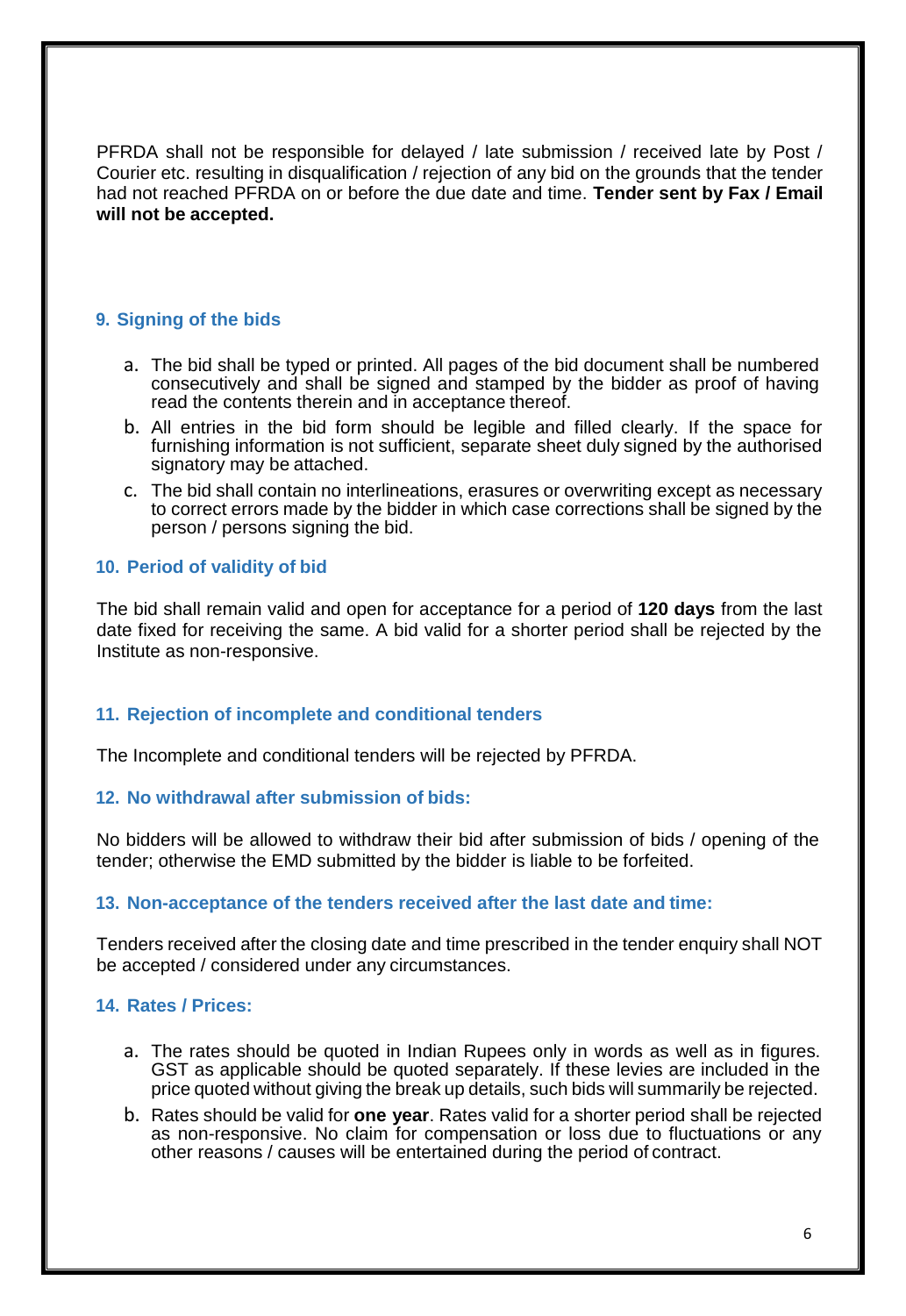PFRDA shall not be responsible for delayed / late submission / received late by Post / Courier etc. resulting in disqualification / rejection of any bid on the grounds that the tender had not reached PFRDA on or before the due date and time. **Tender sent by Fax / Email will not be accepted.**

# **9. Signing of the bids**

- a. The bid shall be typed or printed. All pages of the bid document shall be numbered consecutively and shall be signed and stamped by the bidder as proof of having read the contents therein and in acceptance thereof.
- b. All entries in the bid form should be legible and filled clearly. If the space for furnishing information is not sufficient, separate sheet duly signed by the authorised signatory may be attached.
- c. The bid shall contain no interlineations, erasures or overwriting except as necessary to correct errors made by the bidder in which case corrections shall be signed by the person / persons signing the bid.

# **10. Period of validity of bid**

The bid shall remain valid and open for acceptance for a period of **120 days** from the last date fixed for receiving the same. A bid valid for a shorter period shall be rejected by the Institute as non-responsive.

## **11. Rejection of incomplete and conditional tenders**

The Incomplete and conditional tenders will be rejected by PFRDA.

#### **12. No withdrawal after submission of bids:**

No bidders will be allowed to withdraw their bid after submission of bids / opening of the tender; otherwise the EMD submitted by the bidder is liable to be forfeited.

#### **13. Non-acceptance of the tenders received after the last date and time:**

Tenders received after the closing date and time prescribed in the tender enquiry shall NOT be accepted / considered under any circumstances.

## **14. Rates / Prices:**

- a. The rates should be quoted in Indian Rupees only in words as well as in figures. GST as applicable should be quoted separately. If these levies are included in the price quoted without giving the break up details, such bids will summarily be rejected.
- b. Rates should be valid for **one year**. Rates valid for a shorter period shall be rejected as non-responsive. No claim for compensation or loss due to fluctuations or any other reasons / causes will be entertained during the period of contract.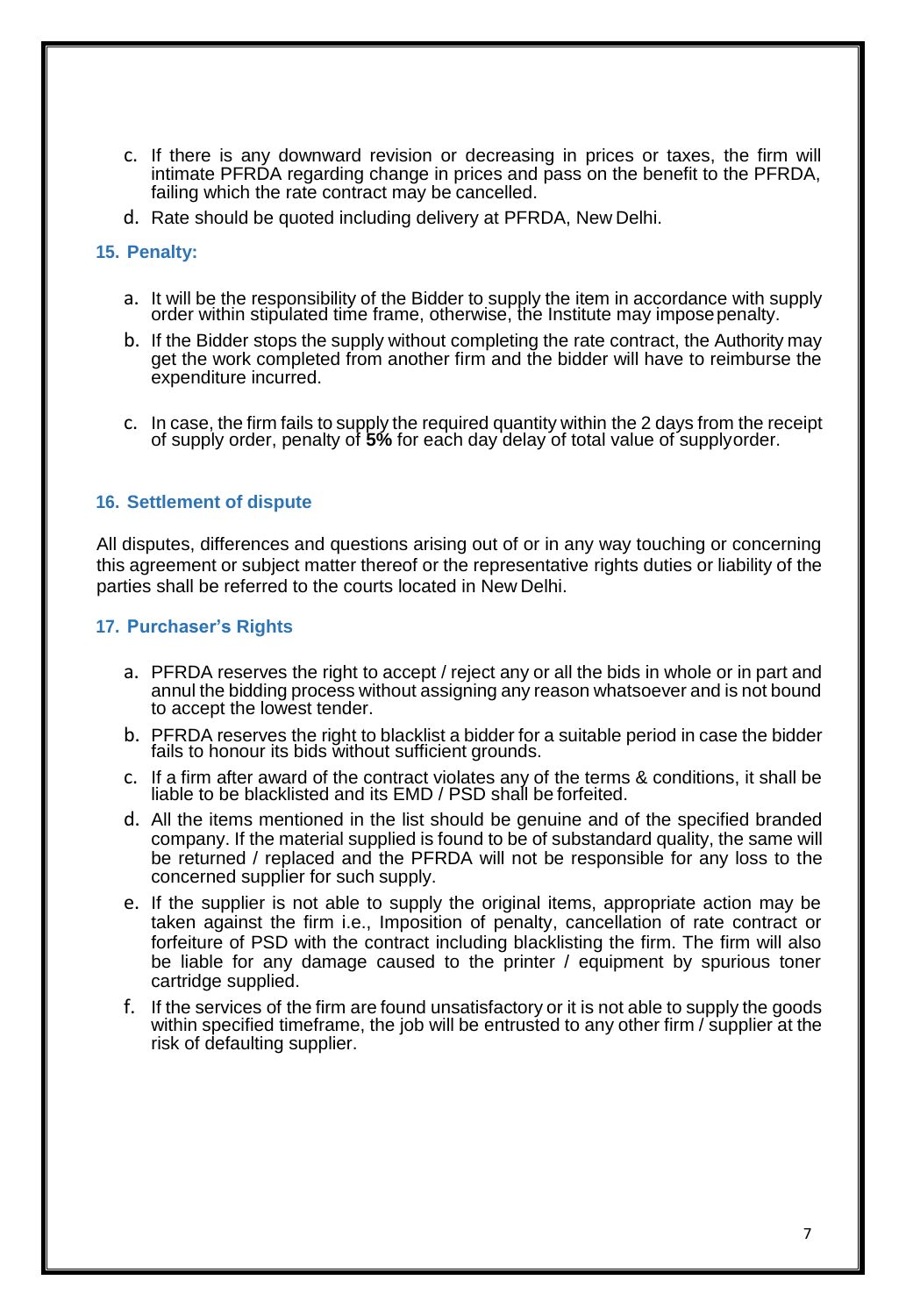- c. If there is any downward revision or decreasing in prices or taxes, the firm will intimate PFRDA regarding change in prices and pass on the benefit to the PFRDA, failing which the rate contract may be cancelled.
- d. Rate should be quoted including delivery at PFRDA, New Delhi.

#### **15. Penalty:**

- a. It will be the responsibility of the Bidder to supply the item in accordance with supply order within stipulated time frame, otherwise, the Institute may imposepenalty.
- b. If the Bidder stops the supply without completing the rate contract, the Authority may get the work completed from another firm and the bidder will have to reimburse the expenditure incurred.
- c. In case, the firm fails to supply the required quantity within the 2 days from the receipt of supply order, penalty of **5%** for each day delay of total value of supplyorder.

#### **16. Settlement of dispute**

All disputes, differences and questions arising out of or in any way touching or concerning this agreement or subject matter thereof or the representative rights duties or liability of the parties shall be referred to the courts located in New Delhi.

#### **17. Purchaser's Rights**

- a. PFRDA reserves the right to accept / reject any or all the bids in whole or in part and annul the bidding process without assigning any reason whatsoever and is not bound to accept the lowest tender.
- b. PFRDA reserves the right to blacklist a bidder for a suitable period in case the bidder fails to honour its bids without sufficient grounds.
- c. If a firm after award of the contract violates any of the terms & conditions, it shall be liable to be blacklisted and its EMD / PSD shall be forfeited.
- d. All the items mentioned in the list should be genuine and of the specified branded company. If the material supplied is found to be of substandard quality, the same will be returned / replaced and the PFRDA will not be responsible for any loss to the concerned supplier for such supply.
- e. If the supplier is not able to supply the original items, appropriate action may be taken against the firm i.e., Imposition of penalty, cancellation of rate contract or forfeiture of PSD with the contract including blacklisting the firm. The firm will also be liable for any damage caused to the printer / equipment by spurious toner cartridge supplied.
- f. If the services of the firm are found unsatisfactory or it is not able to supply the goods within specified timeframe, the job will be entrusted to any other firm / supplier at the risk of defaulting supplier.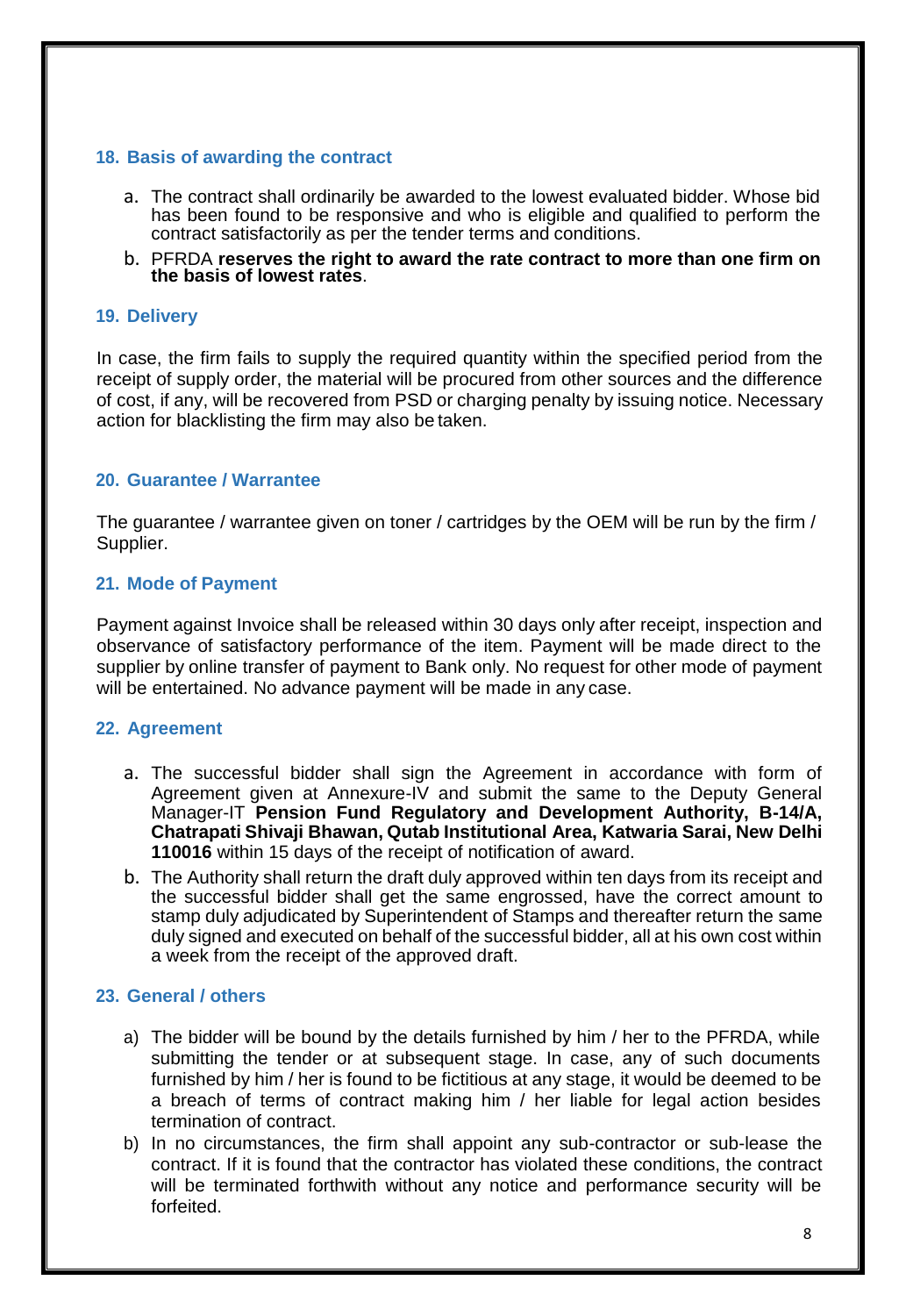# **18. Basis of awarding the contract**

- a. The contract shall ordinarily be awarded to the lowest evaluated bidder. Whose bid has been found to be responsive and who is eligible and qualified to perform the contract satisfactorily as per the tender terms and conditions.
- b. PFRDA **reserves the right to award the rate contract to more than one firm on the basis of lowest rates**.

## **19. Delivery**

In case, the firm fails to supply the required quantity within the specified period from the receipt of supply order, the material will be procured from other sources and the difference of cost, if any, will be recovered from PSD or charging penalty by issuing notice. Necessary action for blacklisting the firm may also be taken.

# **20. Guarantee / Warrantee**

The guarantee / warrantee given on toner / cartridges by the OEM will be run by the firm / Supplier.

## **21. Mode of Payment**

Payment against Invoice shall be released within 30 days only after receipt, inspection and observance of satisfactory performance of the item. Payment will be made direct to the supplier by online transfer of payment to Bank only. No request for other mode of payment will be entertained. No advance payment will be made in any case.

## **22. Agreement**

- a. The successful bidder shall sign the Agreement in accordance with form of Agreement given at Annexure-IV and submit the same to the Deputy General Manager-IT **Pension Fund Regulatory and Development Authority, B-14/A, Chatrapati Shivaji Bhawan, Qutab Institutional Area, Katwaria Sarai, New Delhi 110016** within 15 days of the receipt of notification of award.
- b. The Authority shall return the draft duly approved within ten days from its receipt and the successful bidder shall get the same engrossed, have the correct amount to stamp duly adjudicated by Superintendent of Stamps and thereafter return the same duly signed and executed on behalf of the successful bidder, all at his own cost within a week from the receipt of the approved draft.

## **23. General / others**

- a) The bidder will be bound by the details furnished by him / her to the PFRDA, while submitting the tender or at subsequent stage. In case, any of such documents furnished by him / her is found to be fictitious at any stage, it would be deemed to be a breach of terms of contract making him / her liable for legal action besides termination of contract.
- b) In no circumstances, the firm shall appoint any sub-contractor or sub-lease the contract. If it is found that the contractor has violated these conditions, the contract will be terminated forthwith without any notice and performance security will be forfeited.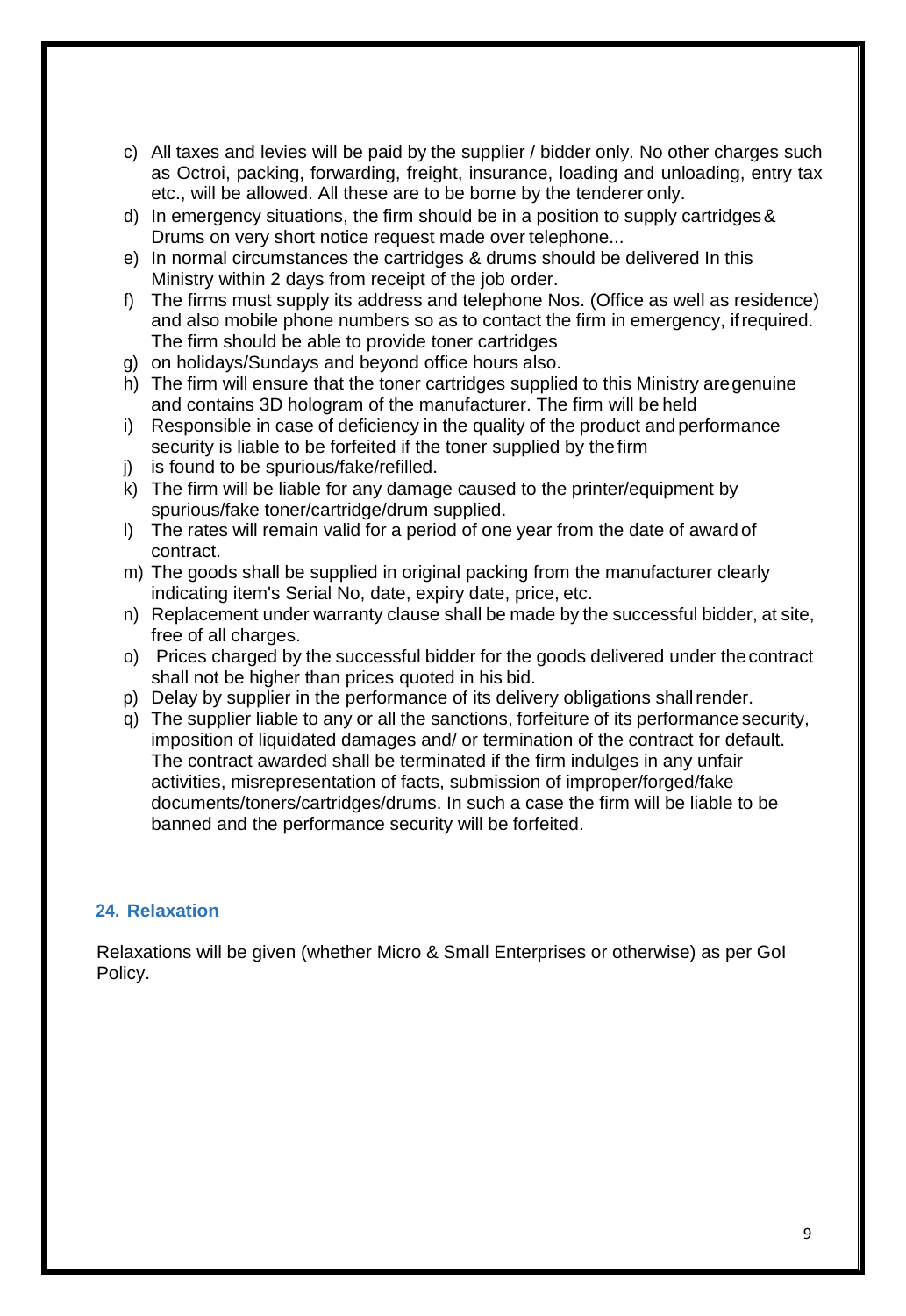- c) All taxes and levies will be paid by the supplier / bidder only. No other charges such as Octroi, packing, forwarding, freight, insurance, loading and unloading, entry tax etc., will be allowed. All these are to be borne by the tenderer only.
- d) In emergency situations, the firm should be in a position to supply cartridges& Drums on very short notice request made over telephone...
- e) In normal circumstances the cartridges & drums should be delivered In this Ministry within 2 days from receipt of the job order.
- f) The firms must supply its address and telephone Nos. (Office as well as residence) and also mobile phone numbers so as to contact the firm in emergency, ifrequired. The firm should be able to provide toner cartridges
- g) on holidays/Sundays and beyond office hours also.
- h) The firm will ensure that the toner cartridges supplied to this Ministry aregenuine and contains 3D hologram of the manufacturer. The firm will be held
- i) Responsible in case of deficiency in the quality of the product and performance security is liable to be forfeited if the toner supplied by the firm
- j) is found to be spurious/fake/refilled.
- k) The firm will be liable for any damage caused to the printer/equipment by spurious/fake toner/cartridge/drum supplied.
- l) The rates will remain valid for a period of one year from the date of award of contract.
- m) The goods shall be supplied in original packing from the manufacturer clearly indicating item's Serial No, date, expiry date, price, etc.
- n) Replacement under warranty clause shall be made by the successful bidder, at site, free of all charges.
- o) Prices charged by the successful bidder for the goods delivered under thecontract shall not be higher than prices quoted in his bid.
- p) Delay by supplier in the performance of its delivery obligations shallrender.
- q) The supplier liable to any or all the sanctions, forfeiture of its performance security, imposition of liquidated damages and/ or termination of the contract for default. The contract awarded shall be terminated if the firm indulges in any unfair activities, misrepresentation of facts, submission of improper/forged/fake documents/toners/cartridges/drums. In such a case the firm will be liable to be banned and the performance security will be forfeited.

# **24. Relaxation**

Relaxations will be given (whether Micro & Small Enterprises or otherwise) as per GoI Policy.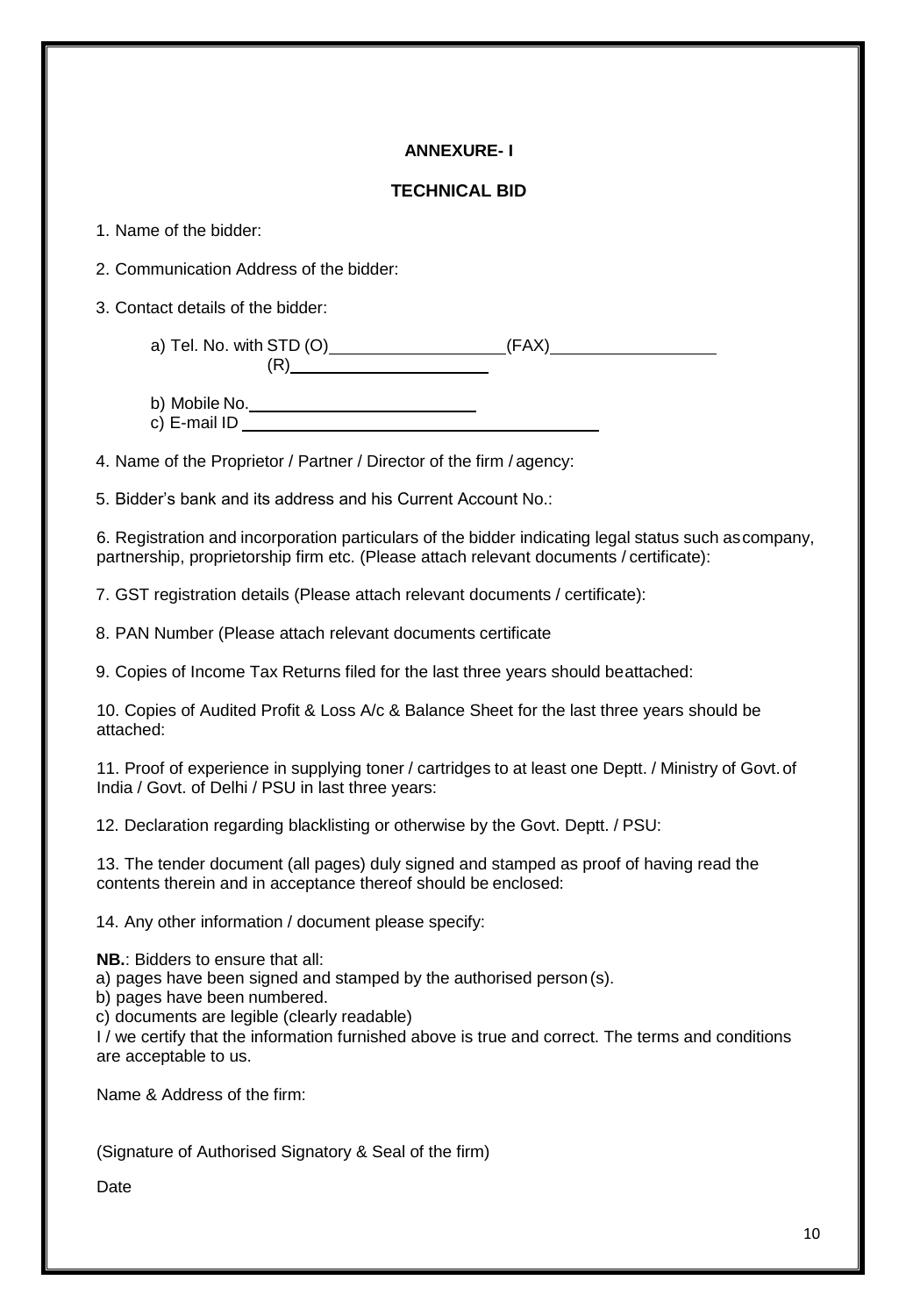# **ANNEXURE- I**

## **TECHNICAL BID**

1. Name of the bidder:

2. Communication Address of the bidder:

3. Contact details of the bidder:

a) Tel. No. with STD (O) (FAX)  $(R)$ 

- b) Mobile No.
- c) E-mail ID

4. Name of the Proprietor / Partner / Director of the firm / agency:

5. Bidder's bank and its address and his Current Account No.:

6. Registration and incorporation particulars of the bidder indicating legal status such ascompany, partnership, proprietorship firm etc. (Please attach relevant documents / certificate):

7. GST registration details (Please attach relevant documents / certificate):

8. PAN Number (Please attach relevant documents certificate

9. Copies of Income Tax Returns filed for the last three years should beattached:

10. Copies of Audited Profit & Loss A/c & Balance Sheet for the last three years should be attached:

11. Proof of experience in supplying toner / cartridges to at least one Deptt. / Ministry of Govt.of India / Govt. of Delhi / PSU in last three years:

12. Declaration regarding blacklisting or otherwise by the Govt. Deptt. / PSU:

13. The tender document (all pages) duly signed and stamped as proof of having read the contents therein and in acceptance thereof should be enclosed:

14. Any other information / document please specify:

**NB.**: Bidders to ensure that all:

a) pages have been signed and stamped by the authorised person (s).

b) pages have been numbered.

c) documents are legible (clearly readable)

I / we certify that the information furnished above is true and correct. The terms and conditions are acceptable to us.

Name & Address of the firm:

(Signature of Authorised Signatory & Seal of the firm)

Date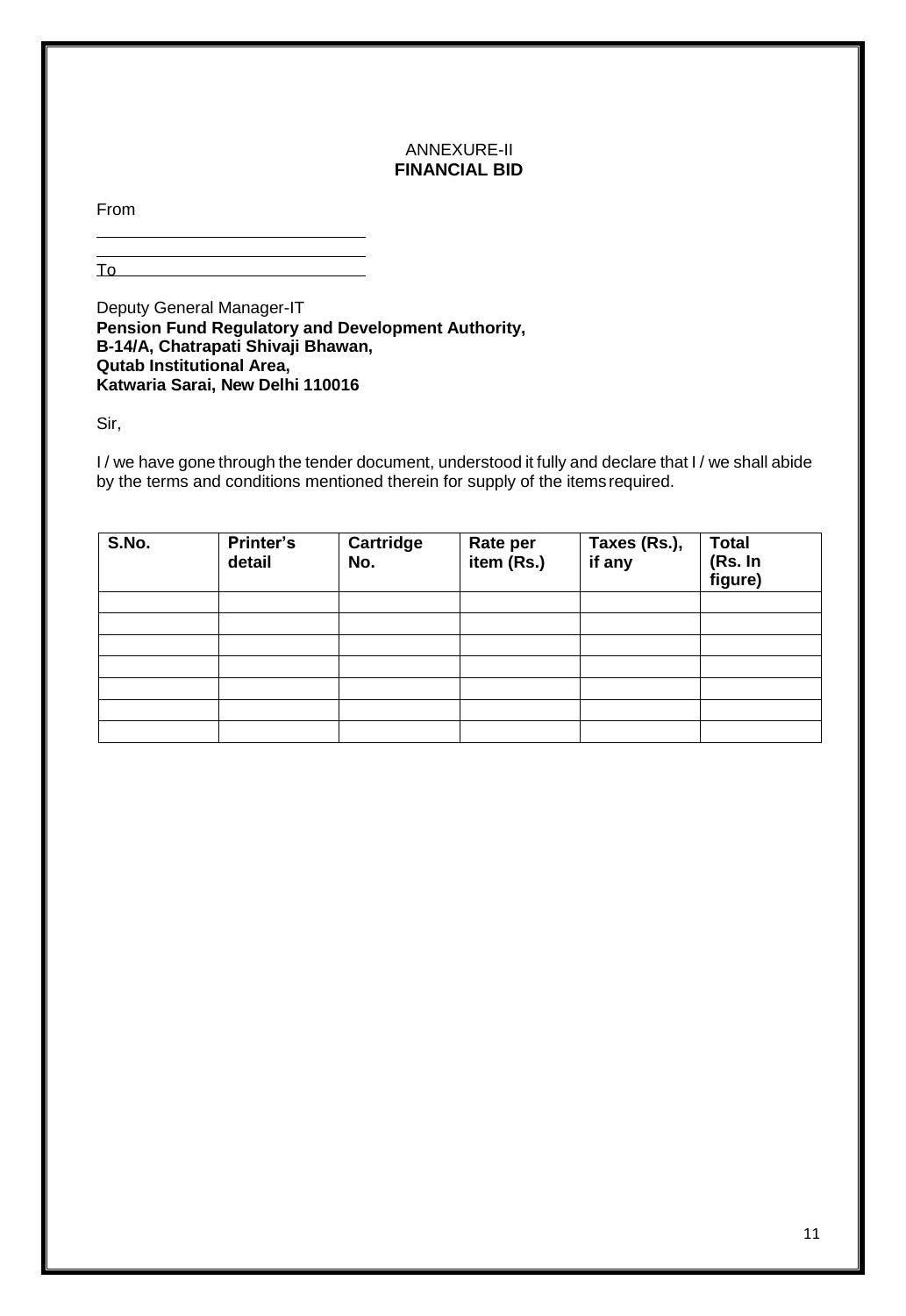#### ANNEXURE-II **FINANCIAL BID**

From

To

Deputy General Manager-IT **Pension Fund Regulatory and Development Authority, B-14/A, Chatrapati Shivaji Bhawan, Qutab Institutional Area, Katwaria Sarai, New Delhi 110016**

Sir,

I/ we have gone through the tender document, understood it fully and declare that I/ we shall abide by the terms and conditions mentioned therein for supply of the items required.

| S.No. | Printer's<br>detail | <b>Cartridge</b><br>No. | <b>Rate per</b><br>item $(Rs.)$ | Taxes (Rs.),<br>if any | Total<br>(Rs. In<br>figure) |
|-------|---------------------|-------------------------|---------------------------------|------------------------|-----------------------------|
|       |                     |                         |                                 |                        |                             |
|       |                     |                         |                                 |                        |                             |
|       |                     |                         |                                 |                        |                             |
|       |                     |                         |                                 |                        |                             |
|       |                     |                         |                                 |                        |                             |
|       |                     |                         |                                 |                        |                             |
|       |                     |                         |                                 |                        |                             |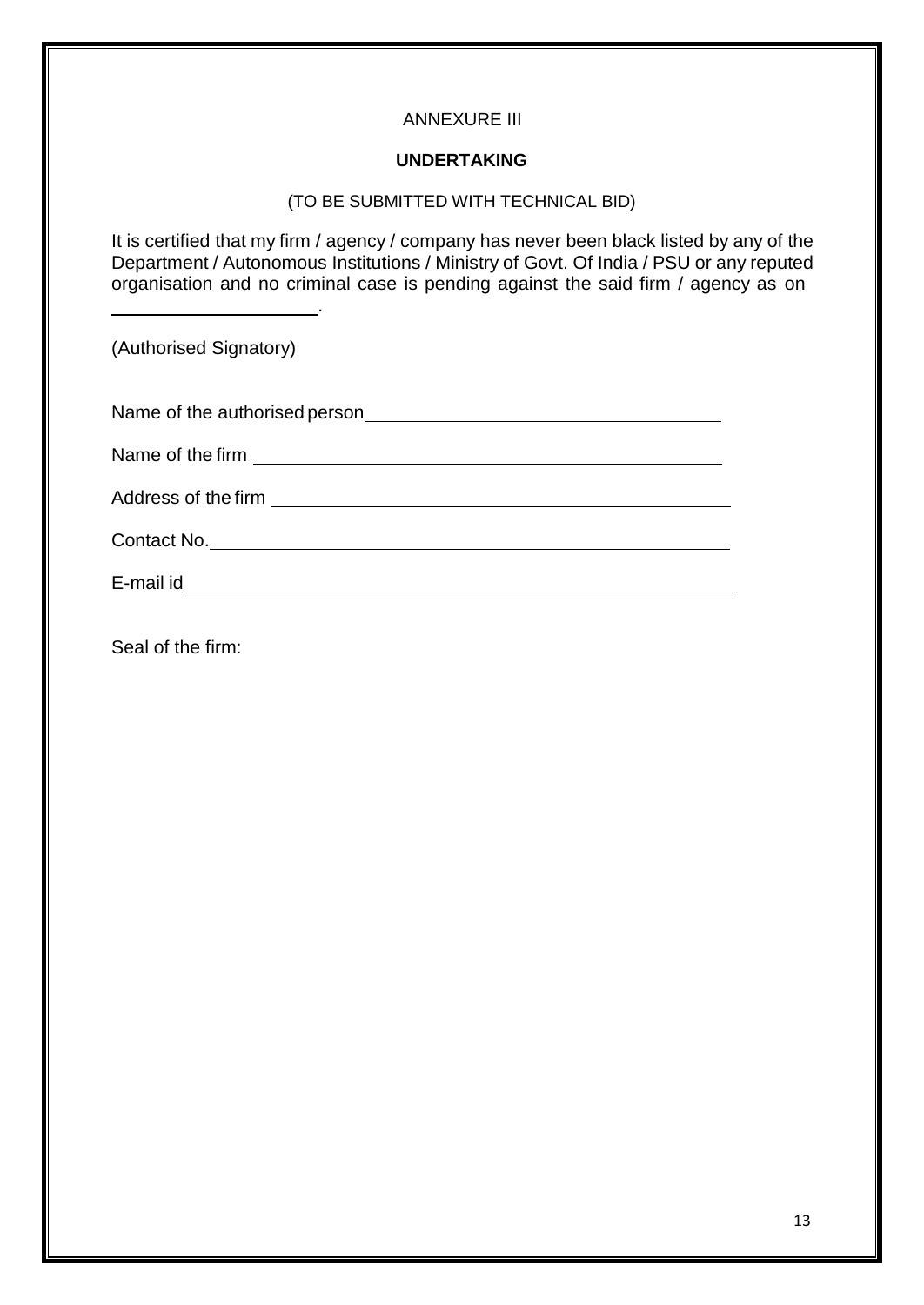# ANNEXURE III

## **UNDERTAKING**

#### (TO BE SUBMITTED WITH TECHNICAL BID)

It is certified that my firm / agency / company has never been black listed by any of the Department / Autonomous Institutions / Ministry of Govt. Of India / PSU or any reputed organisation and no criminal case is pending against the said firm / agency as on

(Authorised Signatory)

| Name of the authorised person |  |  |
|-------------------------------|--|--|
|                               |  |  |

.

Name of the firm

Address of the firm **Address of the firm**  $\overline{a}$ 

Contact No.

E-mail id

Seal of the firm: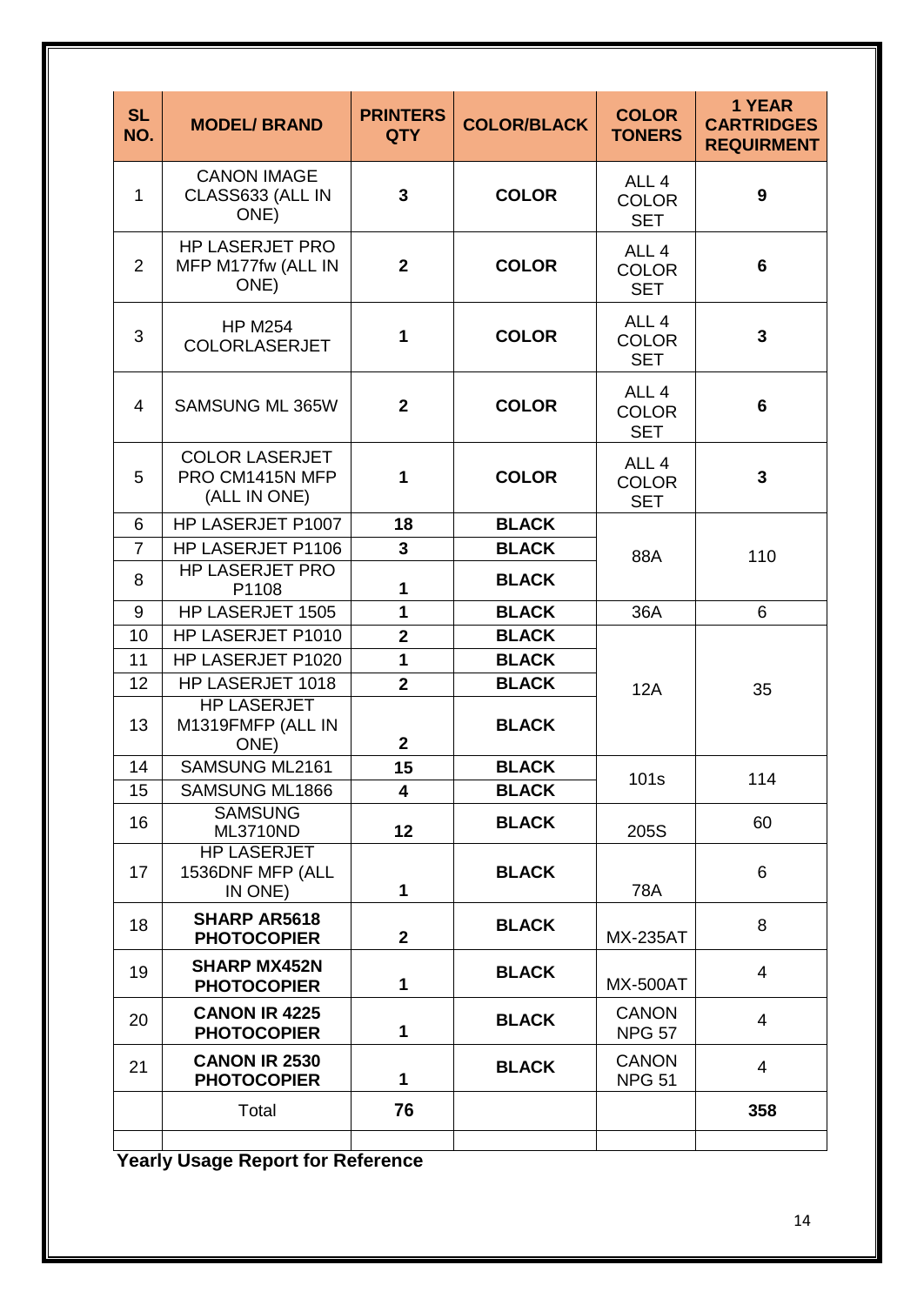| <b>SL</b><br>NO. | <b>MODEL/ BRAND</b>                                      | <b>PRINTERS</b><br><b>QTY</b> | <b>COLOR</b><br><b>COLOR/BLACK</b><br><b>TONERS</b> |                                                | 1 YEAR<br><b>CARTRIDGES</b><br><b>REQUIRMENT</b> |  |
|------------------|----------------------------------------------------------|-------------------------------|-----------------------------------------------------|------------------------------------------------|--------------------------------------------------|--|
| $\mathbf{1}$     | <b>CANON IMAGE</b><br>CLASS633 (ALL IN<br>ONE)           | 3                             | <b>COLOR</b>                                        | ALL <sub>4</sub><br><b>COLOR</b><br><b>SET</b> | 9                                                |  |
| 2                | <b>HP LASERJET PRO</b><br>MFP M177fw (ALL IN<br>ONE)     | $\mathbf{2}$                  | <b>COLOR</b>                                        | ALL <sub>4</sub><br><b>COLOR</b><br><b>SET</b> | 6                                                |  |
| 3                | <b>HP M254</b><br>COLORLASERJET                          | 1                             | <b>COLOR</b>                                        | ALL <sub>4</sub><br><b>COLOR</b><br><b>SET</b> | $\overline{3}$                                   |  |
| $\overline{4}$   | SAMSUNG ML 365W                                          | $\mathbf{2}$                  | <b>COLOR</b>                                        | ALL <sub>4</sub><br><b>COLOR</b><br><b>SET</b> | 6                                                |  |
| 5                | <b>COLOR LASERJET</b><br>PRO CM1415N MFP<br>(ALL IN ONE) | 1                             | <b>COLOR</b>                                        | ALL <sub>4</sub><br><b>COLOR</b><br><b>SET</b> | $\mathbf{3}$                                     |  |
| 6                | HP LASERJET P1007                                        | 18                            | <b>BLACK</b>                                        |                                                |                                                  |  |
| $\overline{7}$   | HP LASERJET P1106                                        | 3                             | <b>BLACK</b>                                        | 88A                                            | 110                                              |  |
| 8                | <b>HP LASERJET PRO</b><br>P1108                          | 1                             | <b>BLACK</b>                                        |                                                |                                                  |  |
| 9                | HP LASERJET 1505                                         | 1                             | <b>BLACK</b>                                        | 36A                                            | 6                                                |  |
| 10               | HP LASERJET P1010                                        | $\overline{2}$                | <b>BLACK</b>                                        |                                                |                                                  |  |
| 11               | HP LASERJET P1020                                        | 1                             | <b>BLACK</b>                                        |                                                |                                                  |  |
| 12               | HP LASERJET 1018                                         | $\overline{2}$                | <b>BLACK</b>                                        | 12A                                            | 35                                               |  |
| 13               | <b>HP LASERJET</b><br>M1319FMFP (ALL IN<br>ONE)          | $\overline{2}$                | <b>BLACK</b>                                        |                                                |                                                  |  |
| 14               | SAMSUNG ML2161                                           | 15                            | <b>BLACK</b><br>101s                                |                                                | 114                                              |  |
| 15               | SAMSUNG ML1866                                           | 4                             | <b>BLACK</b>                                        |                                                |                                                  |  |
| 16               | <b>SAMSUNG</b><br>ML3710ND                               | 12                            | <b>BLACK</b>                                        | 205S                                           | 60                                               |  |
| 17               | <b>HP LASERJET</b><br>1536DNF MFP (ALL<br>IN ONE)        | $\mathbf{1}$                  | <b>BLACK</b>                                        | <b>78A</b>                                     | 6                                                |  |
| 18               | <b>SHARP AR5618</b><br><b>PHOTOCOPIER</b>                | $\mathbf{2}$                  | <b>BLACK</b>                                        | <b>MX-235AT</b>                                | 8                                                |  |
| 19               | <b>SHARP MX452N</b><br><b>PHOTOCOPIER</b>                | 1                             | <b>BLACK</b>                                        | <b>MX-500AT</b>                                | $\overline{4}$                                   |  |
| 20               | <b>CANON IR 4225</b><br><b>PHOTOCOPIER</b>               | 1                             | <b>BLACK</b>                                        | <b>CANON</b><br><b>NPG 57</b>                  | $\overline{4}$                                   |  |
| 21               | <b>CANON IR 2530</b><br><b>PHOTOCOPIER</b>               | 1                             | <b>BLACK</b>                                        | <b>CANON</b><br><b>NPG 51</b>                  | $\overline{4}$                                   |  |
|                  | Total                                                    | 76                            |                                                     |                                                | 358                                              |  |
|                  |                                                          |                               |                                                     |                                                |                                                  |  |

**Yearly Usage Report for Reference**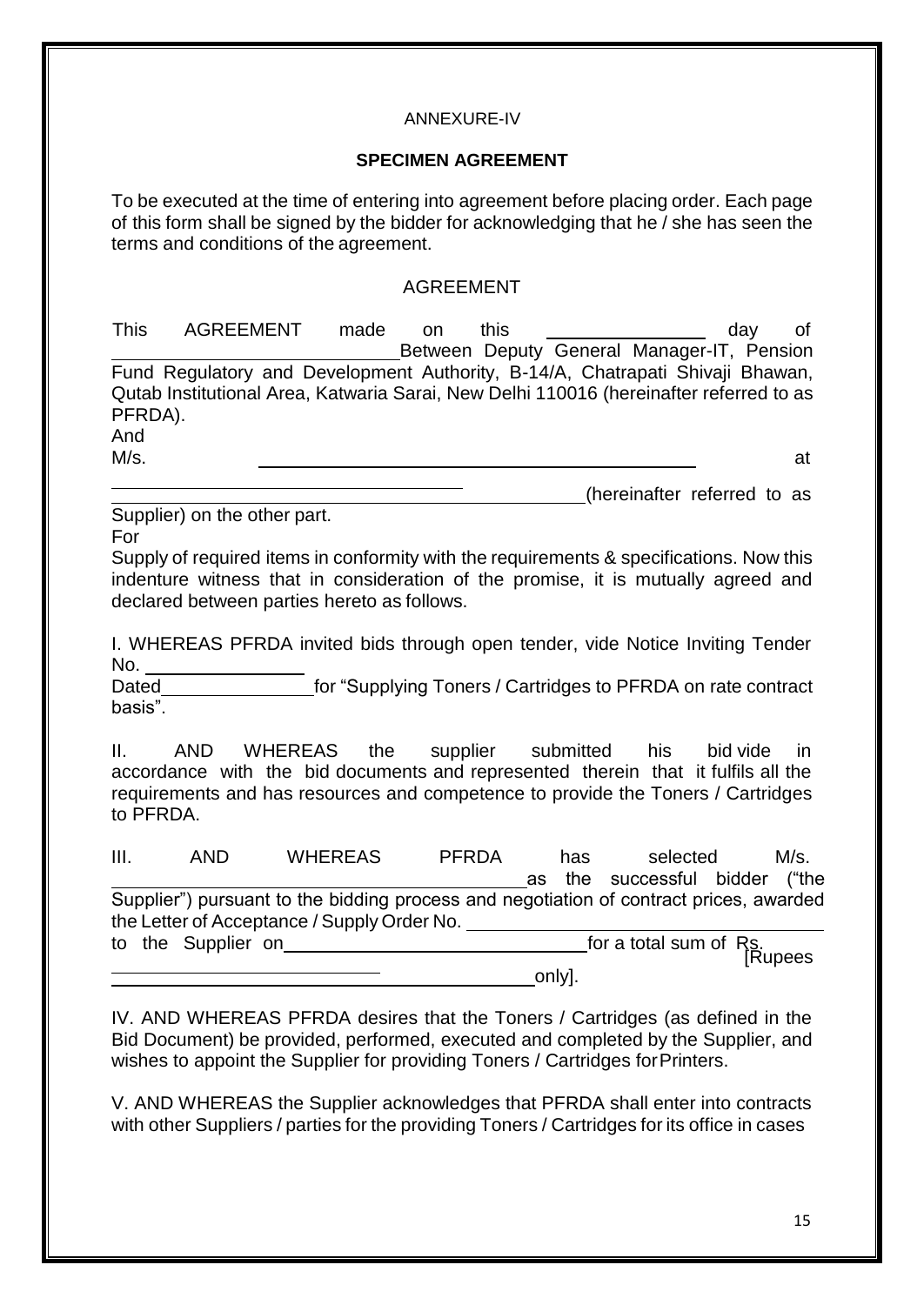# ANNEXURE-IV

## **SPECIMEN AGREEMENT**

To be executed at the time of entering into agreement before placing order. Each page of this form shall be signed by the bidder for acknowledging that he / she has seen the terms and conditions of the agreement.

# AGREEMENT

| <b>This</b> | AGREEMENT                                                                              | made | <sub>on</sub> | this |                                            | dav | of |
|-------------|----------------------------------------------------------------------------------------|------|---------------|------|--------------------------------------------|-----|----|
|             |                                                                                        |      |               |      | Between Deputy General Manager-IT, Pension |     |    |
|             | Fund Regulatory and Development Authority, B-14/A, Chatrapati Shivaji Bhawan,          |      |               |      |                                            |     |    |
|             | Qutab Institutional Area, Katwaria Sarai, New Delhi 110016 (hereinafter referred to as |      |               |      |                                            |     |    |
| PFRDA).     |                                                                                        |      |               |      |                                            |     |    |
| And         |                                                                                        |      |               |      |                                            |     |    |

M/s. at

(hereinafter referred to as

Supplier) on the other part. For

Supply of required items in conformity with the requirements & specifications. Now this indenture witness that in consideration of the promise, it is mutually agreed and declared between parties hereto as follows.

I. WHEREAS PFRDA invited bids through open tender, vide Notice Inviting Tender No.

Dated **for "Supplying Toners / Cartridges to PFRDA on rate contract** basis".

II. AND WHEREAS the supplier submitted his bid vide in accordance with the bid documents and represented therein that it fulfils all the requirements and has resources and competence to provide the Toners / Cartridges to PFRDA.

| III. | AND.               | <b>WHEREAS</b>                                                                         | <b>PFRDA</b> | has    | selected                           | M/s. |
|------|--------------------|----------------------------------------------------------------------------------------|--------------|--------|------------------------------------|------|
|      |                    |                                                                                        |              |        | as the successful bidder ("the     |      |
|      |                    | Supplier") pursuant to the bidding process and negotiation of contract prices, awarded |              |        |                                    |      |
|      |                    | the Letter of Acceptance / Supply Order No.                                            |              |        |                                    |      |
|      | to the Supplier on |                                                                                        |              |        | for a total sum of Rs.<br>[Rupees] |      |
|      |                    |                                                                                        |              | only]. |                                    |      |

IV. AND WHEREAS PFRDA desires that the Toners / Cartridges (as defined in the Bid Document) be provided, performed, executed and completed by the Supplier, and wishes to appoint the Supplier for providing Toners / Cartridges forPrinters.

V. AND WHEREAS the Supplier acknowledges that PFRDA shall enter into contracts with other Suppliers / parties for the providing Toners / Cartridges for its office in cases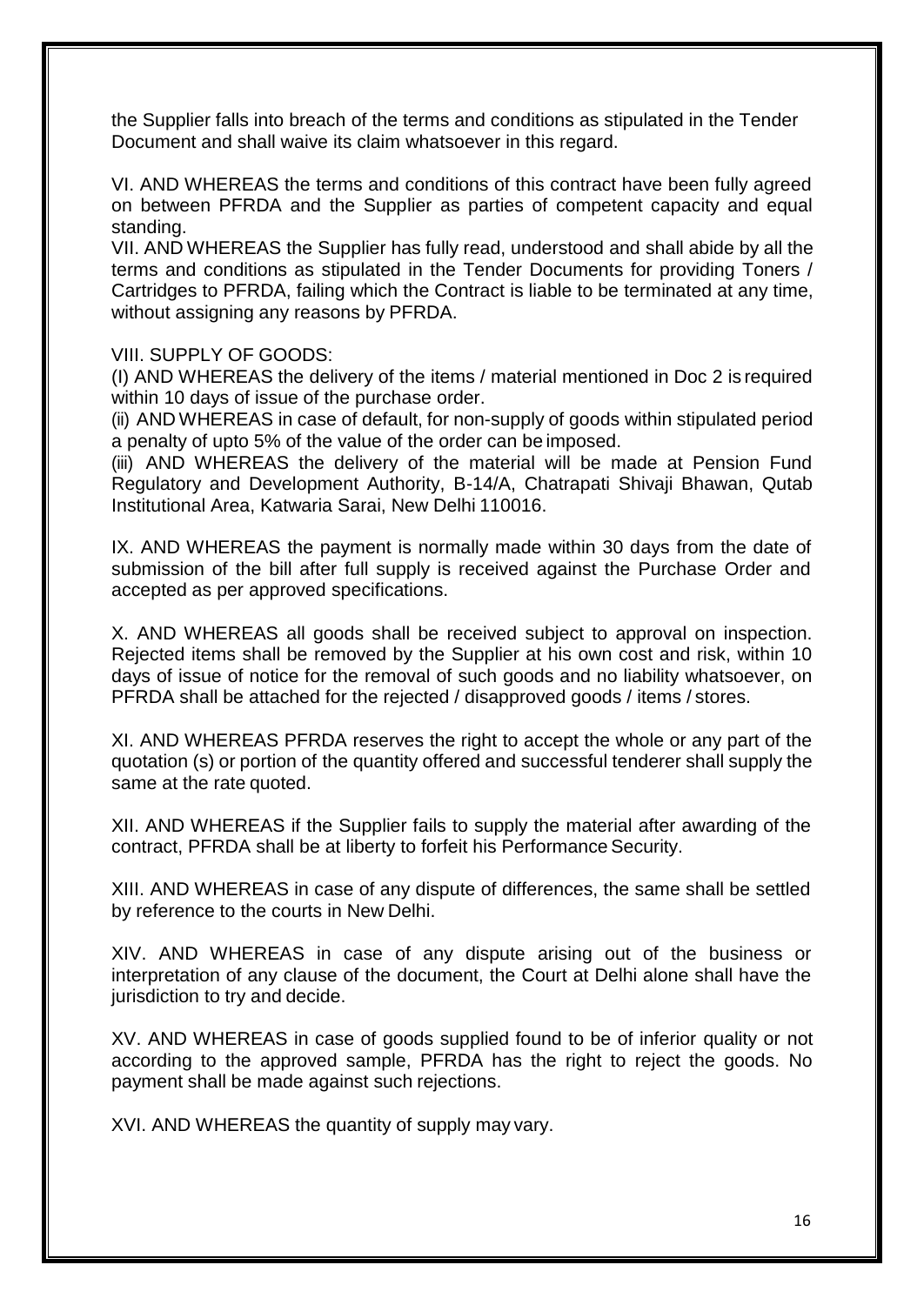the Supplier falls into breach of the terms and conditions as stipulated in the Tender Document and shall waive its claim whatsoever in this regard.

VI. AND WHEREAS the terms and conditions of this contract have been fully agreed on between PFRDA and the Supplier as parties of competent capacity and equal standing.

VII. AND WHEREAS the Supplier has fully read, understood and shall abide by all the terms and conditions as stipulated in the Tender Documents for providing Toners / Cartridges to PFRDA, failing which the Contract is liable to be terminated at any time, without assigning any reasons by PFRDA.

VIII. SUPPLY OF GOODS:

(I) AND WHEREAS the delivery of the items / material mentioned in Doc 2 is required within 10 days of issue of the purchase order.

(ii) AND WHEREAS in case of default, for non-supply of goods within stipulated period a penalty of upto 5% of the value of the order can be imposed.

(iii) AND WHEREAS the delivery of the material will be made at Pension Fund Regulatory and Development Authority, B-14/A, Chatrapati Shivaji Bhawan, Qutab Institutional Area, Katwaria Sarai, New Delhi 110016.

IX. AND WHEREAS the payment is normally made within 30 days from the date of submission of the bill after full supply is received against the Purchase Order and accepted as per approved specifications.

X. AND WHEREAS all goods shall be received subject to approval on inspection. Rejected items shall be removed by the Supplier at his own cost and risk, within 10 days of issue of notice for the removal of such goods and no liability whatsoever, on PFRDA shall be attached for the rejected / disapproved goods / items / stores.

XI. AND WHEREAS PFRDA reserves the right to accept the whole or any part of the quotation (s) or portion of the quantity offered and successful tenderer shall supply the same at the rate quoted.

XII. AND WHEREAS if the Supplier fails to supply the material after awarding of the contract, PFRDA shall be at liberty to forfeit his Performance Security.

XIII. AND WHEREAS in case of any dispute of differences, the same shall be settled by reference to the courts in New Delhi.

XIV. AND WHEREAS in case of any dispute arising out of the business or interpretation of any clause of the document, the Court at Delhi alone shall have the jurisdiction to try and decide.

XV. AND WHEREAS in case of goods supplied found to be of inferior quality or not according to the approved sample, PFRDA has the right to reject the goods. No payment shall be made against such rejections.

XVI. AND WHEREAS the quantity of supply may vary.